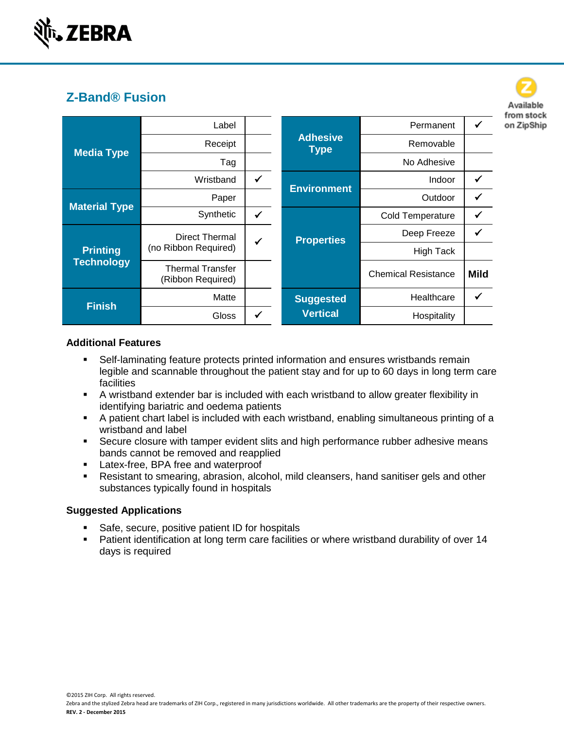

| <b>Media Type</b>                    | Label                                         |   |                                | Permanent                  |      |
|--------------------------------------|-----------------------------------------------|---|--------------------------------|----------------------------|------|
|                                      | Receipt                                       |   | <b>Adhesive</b><br><b>Type</b> | Removable                  |      |
|                                      | Tag                                           |   |                                | No Adhesive                |      |
|                                      | Wristband                                     | ✓ | <b>Environment</b>             | Indoor                     |      |
| <b>Material Type</b>                 | Paper                                         |   |                                | Outdoor                    |      |
|                                      | Synthetic                                     | ✓ |                                | <b>Cold Temperature</b>    |      |
| <b>Printing</b><br><b>Technology</b> | <b>Direct Thermal</b><br>(no Ribbon Required) | ✔ | <b>Properties</b>              | Deep Freeze                |      |
|                                      |                                               |   |                                | <b>High Tack</b>           |      |
|                                      | <b>Thermal Transfer</b><br>(Ribbon Required)  |   |                                | <b>Chemical Resistance</b> | Mild |
| <b>Finish</b>                        | Matte                                         |   | <b>Suggested</b>               | Healthcare                 |      |
|                                      | <b>Gloss</b>                                  |   | <b>Vertical</b>                | Hospitality                |      |

Available from stock on ZipShip

## **Additional Features**

- Self-laminating feature protects printed information and ensures wristbands remain legible and scannable throughout the patient stay and for up to 60 days in long term care facilities
- A wristband extender bar is included with each wristband to allow greater flexibility in identifying bariatric and oedema patients
- A patient chart label is included with each wristband, enabling simultaneous printing of a wristband and label
- Secure closure with tamper evident slits and high performance rubber adhesive means bands cannot be removed and reapplied
- **Latex-free, BPA free and waterproof**
- Resistant to smearing, abrasion, alcohol, mild cleansers, hand sanitiser gels and other substances typically found in hospitals

# **Suggested Applications**

- Safe, secure, positive patient ID for hospitals
- **Patient identification at long term care facilities or where wristband durability of over 14** days is required

©2015 ZIH Corp. All rights reserved.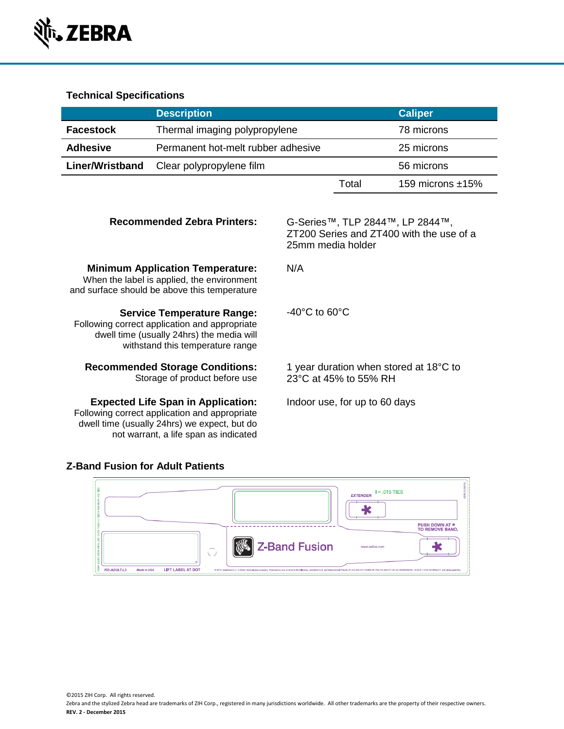

## **Technical Specifications**

|                        | <b>Description</b>                 |       | <b>Caliper</b>      |
|------------------------|------------------------------------|-------|---------------------|
| <b>Facestock</b>       | Thermal imaging polypropylene      |       | 78 microns          |
| <b>Adhesive</b>        | Permanent hot-melt rubber adhesive |       | 25 microns          |
| <b>Liner/Wristband</b> | Clear polypropylene film           |       | 56 microns          |
|                        |                                    | Total | 159 microns $±15\%$ |

N/A

-40°C to 60°C

#### **Recommended Zebra Printers:** G-Series™, TLP 2844™, LP 2844™,

ZT200 Series and ZT400 with the use of a 25mm media holder

## **Minimum Application Temperature:**

When the label is applied, the environment and surface should be above this temperature

**Service Temperature Range:**

Following correct application and appropriate dwell time (usually 24hrs) the media will withstand this temperature range

#### **Recommended Storage Conditions:** Storage of product before use

#### **Expected Life Span in Application:**

Following correct application and appropriate dwell time (usually 24hrs) we expect, but do not warrant, a life span as indicated

1 year duration when stored at 18°C to 23°C at 45% to 55% RH

Indoor use, for up to 60 days

## **Z-Band Fusion for Adult Patients**